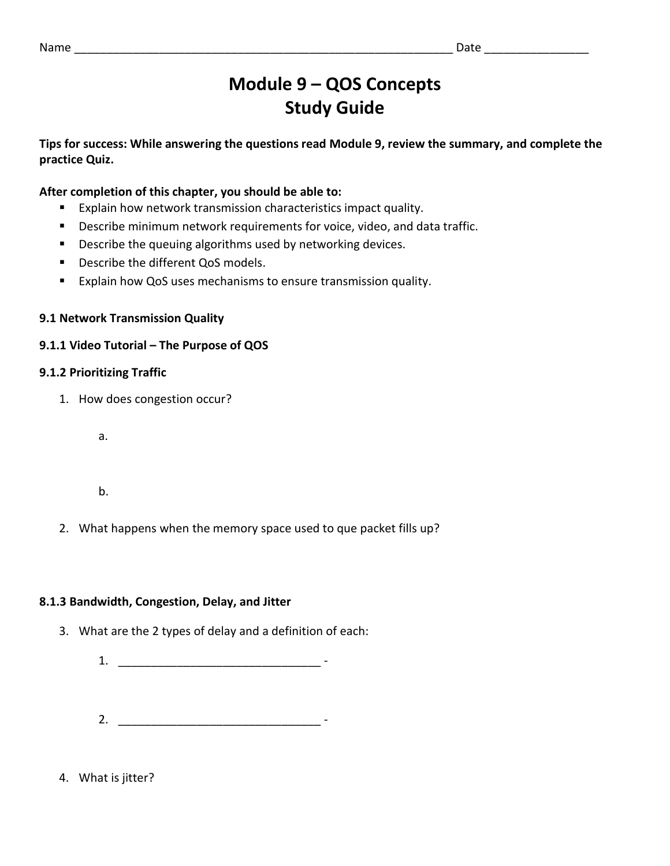# **Module 9 – QOS Concepts Study Guide**

**Tips for success: While answering the questions read Module 9, review the summary, and complete the practice Quiz.**

## **After completion of this chapter, you should be able to:**

- Explain how network transmission characteristics impact quality.
- Describe minimum network requirements for voice, video, and data traffic.
- Describe the queuing algorithms used by networking devices.
- Describe the different QoS models.
- Explain how QoS uses mechanisms to ensure transmission quality.

## **9.1 Network Transmission Quality**

## **9.1.1 Video Tutorial – The Purpose of QOS**

## **9.1.2 Prioritizing Traffic**

1. How does congestion occur?

a.

b.

2. What happens when the memory space used to que packet fills up?

## **8.1.3 Bandwidth, Congestion, Delay, and Jitter**

- 3. What are the 2 types of delay and a definition of each:
	- 1.
	- 2. \_\_\_\_\_\_\_\_\_\_\_\_\_\_\_\_\_\_\_\_\_\_\_\_\_\_\_\_\_\_\_ -

## 4. What is jitter?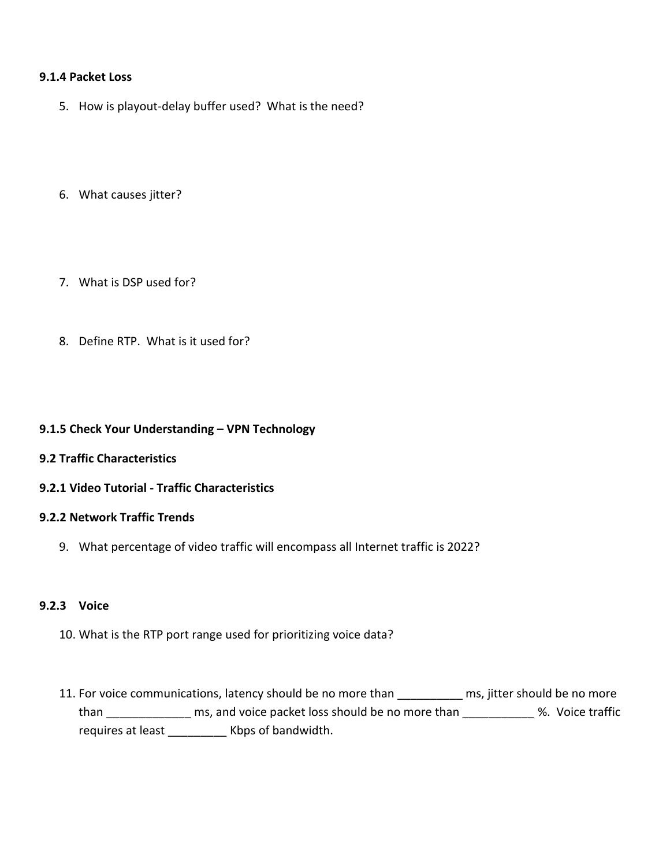#### **9.1.4 Packet Loss**

- 5. How is playout-delay buffer used? What is the need?
- 6. What causes jitter?
- 7. What is DSP used for?
- 8. Define RTP. What is it used for?

#### **9.1.5 Check Your Understanding – VPN Technology**

- **9.2 Traffic Characteristics**
- **9.2.1 Video Tutorial - Traffic Characteristics**

#### **9.2.2 Network Traffic Trends**

9. What percentage of video traffic will encompass all Internet traffic is 2022?

#### **9.2.3 Voice**

- 10. What is the RTP port range used for prioritizing voice data?
- 11. For voice communications, latency should be no more than \_\_\_\_\_\_\_\_\_\_\_ ms, jitter should be no more than \_\_\_\_\_\_\_\_\_\_\_\_\_\_ ms, and voice packet loss should be no more than \_\_\_\_\_\_\_\_\_\_\_\_ %. Voice traffic requires at least \_\_\_\_\_\_\_\_\_ Kbps of bandwidth.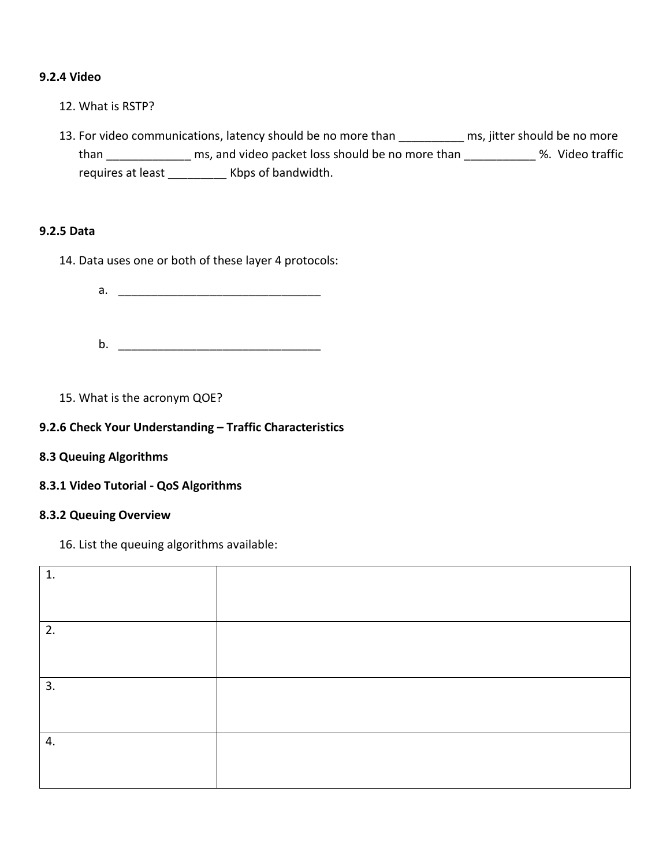#### **9.2.4 Video**

- 12. What is RSTP?
- 13. For video communications, latency should be no more than \_\_\_\_\_\_\_\_\_\_ ms, jitter should be no more than \_\_\_\_\_\_\_\_\_\_\_\_\_\_\_ ms, and video packet loss should be no more than \_\_\_\_\_\_\_\_\_\_\_\_ %. Video traffic requires at least \_\_\_\_\_\_\_\_\_\_\_ Kbps of bandwidth.

## **9.2.5 Data**

- 14. Data uses one or both of these layer 4 protocols:
	- a. \_\_\_\_\_\_\_\_\_\_\_\_\_\_\_\_\_\_\_\_\_\_\_\_\_\_\_\_\_\_\_
	- b. \_\_\_\_\_\_\_\_\_\_\_\_\_\_\_\_\_\_\_\_\_\_\_\_\_\_\_\_\_\_\_
- 15. What is the acronym QOE?

#### **9.2.6 Check Your Understanding – Traffic Characteristics**

- **8.3 Queuing Algorithms**
- **8.3.1 Video Tutorial - QoS Algorithms**

#### **8.3.2 Queuing Overview**

16. List the queuing algorithms available:

| 1. |  |
|----|--|
|    |  |
|    |  |
| 2. |  |
|    |  |
|    |  |
| 3. |  |
|    |  |
|    |  |
| 4. |  |
|    |  |
|    |  |
|    |  |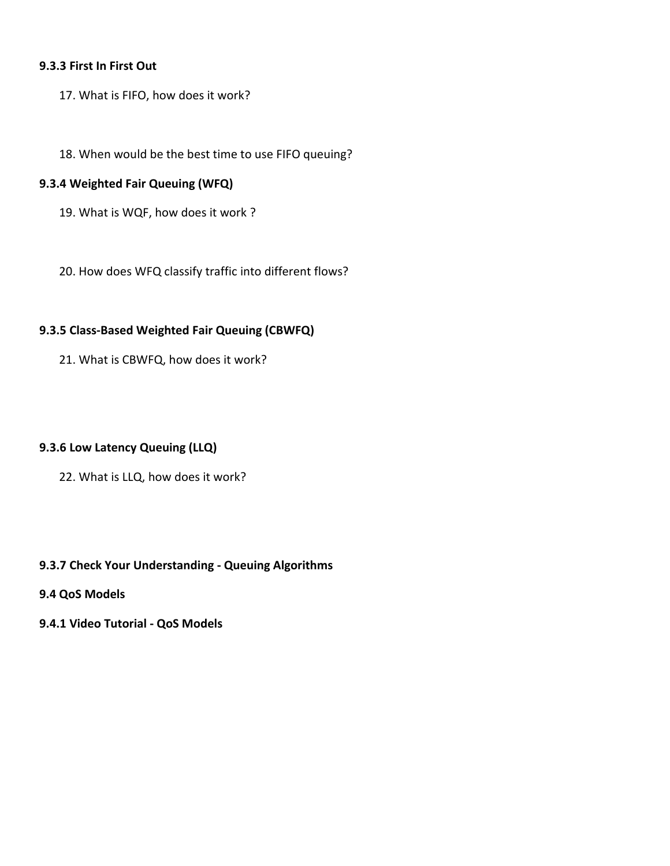#### **9.3.3 First In First Out**

- 17. What is FIFO, how does it work?
- 18. When would be the best time to use FIFO queuing?

## **9.3.4 Weighted Fair Queuing (WFQ)**

- 19. What is WQF, how does it work ?
- 20. How does WFQ classify traffic into different flows?

#### **9.3.5 Class-Based Weighted Fair Queuing (CBWFQ)**

21. What is CBWFQ, how does it work?

#### **9.3.6 Low Latency Queuing (LLQ)**

22. What is LLQ, how does it work?

#### **9.3.7 Check Your Understanding - Queuing Algorithms**

- **9.4 QoS Models**
- **9.4.1 Video Tutorial - QoS Models**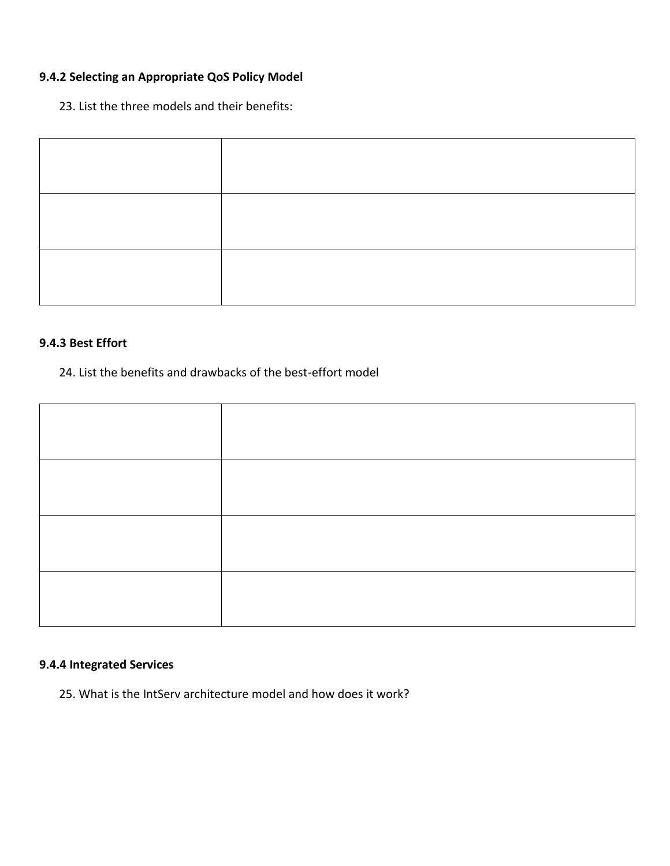## **9.4.2 Selecting an Appropriate QoS Policy Model**

23. List the three models and their benefits:

#### **9.4.3 Best Effort**

## 24. List the benefits and drawbacks of the best-effort model



## **9.4.4 Integrated Services**

25. What is the IntServ architecture model and how does it work?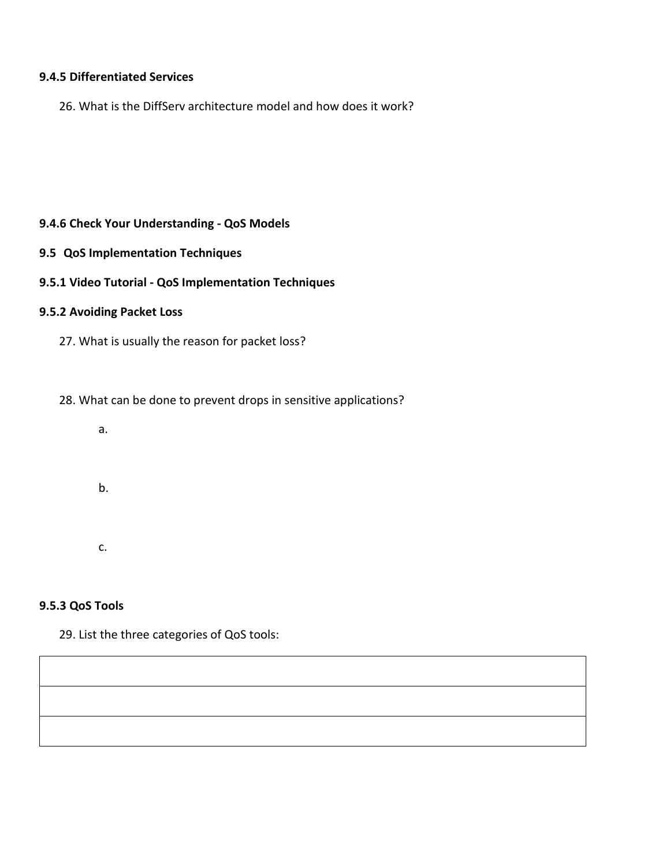#### **9.4.5 Differentiated Services**

26. What is the DiffServ architecture model and how does it work?

#### **9.4.6 Check Your Understanding - QoS Models**

**9.5 QoS Implementation Techniques**

#### **9.5.1 Video Tutorial - QoS Implementation Techniques**

## **9.5.2 Avoiding Packet Loss**

27. What is usually the reason for packet loss?

28. What can be done to prevent drops in sensitive applications?

a.

b.

c.

### **9.5.3 QoS Tools**

29. List the three categories of QoS tools: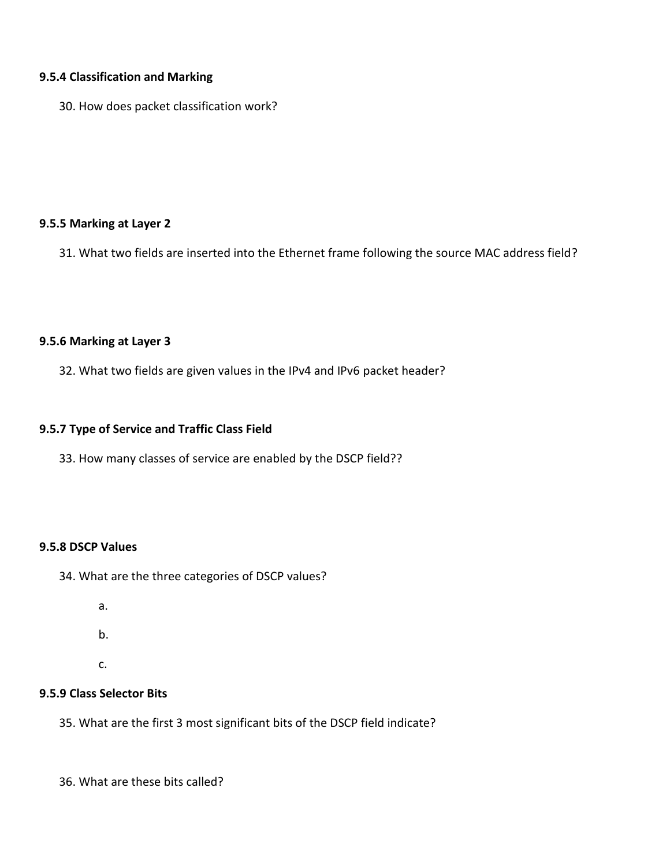#### **9.5.4 Classification and Marking**

30. How does packet classification work?

#### **9.5.5 Marking at Layer 2**

31. What two fields are inserted into the Ethernet frame following the source MAC address field?

#### **9.5.6 Marking at Layer 3**

32. What two fields are given values in the IPv4 and IPv6 packet header?

#### **9.5.7 Type of Service and Traffic Class Field**

33. How many classes of service are enabled by the DSCP field??

#### **9.5.8 DSCP Values**

34. What are the three categories of DSCP values?

- a.
- b.
- c.

## **9.5.9 Class Selector Bits**

35. What are the first 3 most significant bits of the DSCP field indicate?

36. What are these bits called?